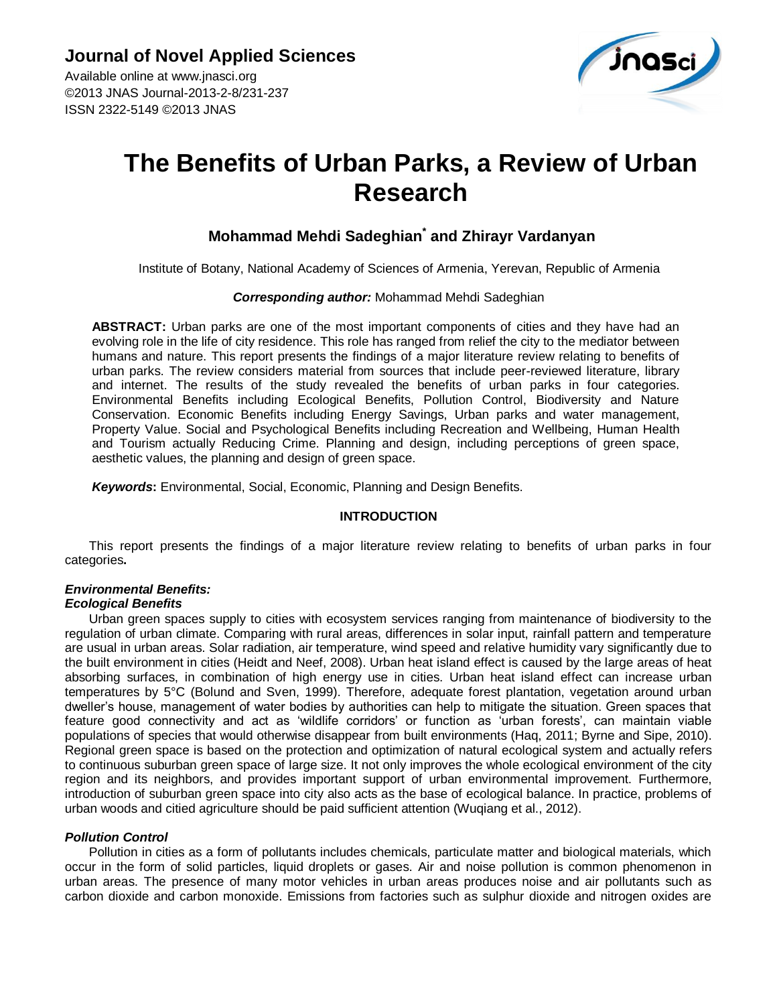Available online at www.jnasci.org ©2013 JNAS Journal-2013-2-8/231-237 ISSN 2322-5149 ©2013 JNAS



# **The Benefits of Urban Parks, a Review of Urban Research**

# **Mohammad Mehdi Sadeghian\* and Zhirayr Vardanyan**

Institute of Botany, National Academy of Sciences of Armenia, Yerevan, Republic of Armenia

#### *Corresponding author:* Mohammad Mehdi Sadeghian

**ABSTRACT:** Urban parks are one of the most important components of cities and they have had an evolving role in the life of city residence. This role has ranged from relief the city to the mediator between humans and nature. This report presents the findings of a major literature review relating to benefits of urban parks. The review considers material from sources that include peer-reviewed literature, library and internet. The results of the study revealed the benefits of urban parks in four categories. Environmental Benefits including Ecological Benefits, Pollution Control, Biodiversity and Nature Conservation. Economic Benefits including Energy Savings, Urban parks and water management, Property Value. Social and Psychological Benefits including Recreation and Wellbeing, Human Health and Tourism actually Reducing Crime. Planning and design, including perceptions of green space, aesthetic values, the planning and design of green space.

*Keywords***:** Environmental, Social, Economic, Planning and Design Benefits.

## **INTRODUCTION**

This report presents the findings of a major literature review relating to benefits of urban parks in four categories**.**

# *Environmental Benefits:*

## *Ecological Benefits*

Urban green spaces supply to cities with ecosystem services ranging from maintenance of biodiversity to the regulation of urban climate. Comparing with rural areas, differences in solar input, rainfall pattern and temperature are usual in urban areas. Solar radiation, air temperature, wind speed and relative humidity vary significantly due to the built environment in cities (Heidt and Neef, 2008). Urban heat island effect is caused by the large areas of heat absorbing surfaces, in combination of high energy use in cities. Urban heat island effect can increase urban temperatures by 5°C (Bolund and Sven, 1999). Therefore, adequate forest plantation, vegetation around urban dweller"s house, management of water bodies by authorities can help to mitigate the situation. Green spaces that feature good connectivity and act as "wildlife corridors" or function as "urban forests", can maintain viable populations of species that would otherwise disappear from built environments (Haq, 2011; Byrne and Sipe, 2010). Regional green space is based on the protection and optimization of natural ecological system and actually refers to continuous suburban green space of large size. It not only improves the whole ecological environment of the city region and its neighbors, and provides important support of urban environmental improvement. Furthermore, introduction of suburban green space into city also acts as the base of ecological balance. In practice, problems of urban woods and citied agriculture should be paid sufficient attention (Wuqiang et al., 2012).

## *Pollution Control*

Pollution in cities as a form of pollutants includes chemicals, particulate matter and biological materials, which occur in the form of solid particles, liquid droplets or gases. Air and noise pollution is common phenomenon in urban areas. The presence of many motor vehicles in urban areas produces noise and air pollutants such as carbon dioxide and carbon monoxide. Emissions from factories such as sulphur dioxide and nitrogen oxides are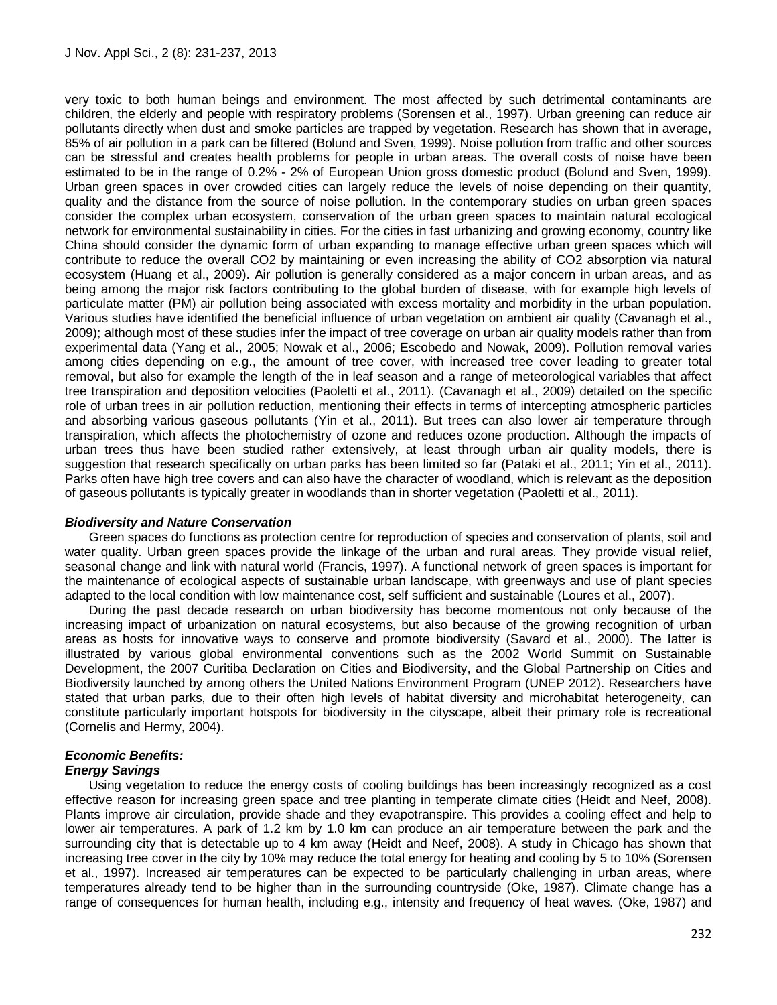very toxic to both human beings and environment. The most affected by such detrimental contaminants are children, the elderly and people with respiratory problems (Sorensen et al., 1997). Urban greening can reduce air pollutants directly when dust and smoke particles are trapped by vegetation. Research has shown that in average, 85% of air pollution in a park can be filtered (Bolund and Sven, 1999). Noise pollution from traffic and other sources can be stressful and creates health problems for people in urban areas. The overall costs of noise have been estimated to be in the range of 0.2% - 2% of European Union gross domestic product (Bolund and Sven, 1999). Urban green spaces in over crowded cities can largely reduce the levels of noise depending on their quantity, quality and the distance from the source of noise pollution. In the contemporary studies on urban green spaces consider the complex urban ecosystem, conservation of the urban green spaces to maintain natural ecological network for environmental sustainability in cities. For the cities in fast urbanizing and growing economy, country like China should consider the dynamic form of urban expanding to manage effective urban green spaces which will contribute to reduce the overall CO2 by maintaining or even increasing the ability of CO2 absorption via natural ecosystem (Huang et al., 2009). Air pollution is generally considered as a major concern in urban areas, and as being among the major risk factors contributing to the global burden of disease, with for example high levels of particulate matter (PM) air pollution being associated with excess mortality and morbidity in the urban population. Various studies have identified the beneficial influence of urban vegetation on ambient air quality (Cavanagh et al., 2009); although most of these studies infer the impact of tree coverage on urban air quality models rather than from experimental data (Yang et al., 2005; Nowak et al., 2006; Escobedo and Nowak, 2009). Pollution removal varies among cities depending on e.g., the amount of tree cover, with increased tree cover leading to greater total removal, but also for example the length of the in leaf season and a range of meteorological variables that affect tree transpiration and deposition velocities (Paoletti et al., 2011). (Cavanagh et al., 2009) detailed on the specific role of urban trees in air pollution reduction, mentioning their effects in terms of intercepting atmospheric particles and absorbing various gaseous pollutants (Yin et al., 2011). But trees can also lower air temperature through transpiration, which affects the photochemistry of ozone and reduces ozone production. Although the impacts of urban trees thus have been studied rather extensively, at least through urban air quality models, there is suggestion that research specifically on urban parks has been limited so far (Pataki et al., 2011; Yin et al., 2011). Parks often have high tree covers and can also have the character of woodland, which is relevant as the deposition of gaseous pollutants is typically greater in woodlands than in shorter vegetation (Paoletti et al., 2011).

#### *Biodiversity and Nature Conservation*

Green spaces do functions as protection centre for reproduction of species and conservation of plants, soil and water quality. Urban green spaces provide the linkage of the urban and rural areas. They provide visual relief, seasonal change and link with natural world (Francis, 1997). A functional network of green spaces is important for the maintenance of ecological aspects of sustainable urban landscape, with greenways and use of plant species adapted to the local condition with low maintenance cost, self sufficient and sustainable (Loures et al., 2007).

During the past decade research on urban biodiversity has become momentous not only because of the increasing impact of urbanization on natural ecosystems, but also because of the growing recognition of urban areas as hosts for innovative ways to conserve and promote biodiversity (Savard et al., 2000). The latter is illustrated by various global environmental conventions such as the 2002 World Summit on Sustainable Development, the 2007 Curitiba Declaration on Cities and Biodiversity, and the Global Partnership on Cities and Biodiversity launched by among others the United Nations Environment Program (UNEP 2012). Researchers have stated that urban parks, due to their often high levels of habitat diversity and microhabitat heterogeneity, can constitute particularly important hotspots for biodiversity in the cityscape, albeit their primary role is recreational (Cornelis and Hermy, 2004).

#### *Economic Benefits: Energy Savings*

Using vegetation to reduce the energy costs of cooling buildings has been increasingly recognized as a cost effective reason for increasing green space and tree planting in temperate climate cities (Heidt and Neef, 2008). Plants improve air circulation, provide shade and they evapotranspire. This provides a cooling effect and help to lower air temperatures. A park of 1.2 km by 1.0 km can produce an air temperature between the park and the surrounding city that is detectable up to 4 km away (Heidt and Neef, 2008). A study in Chicago has shown that increasing tree cover in the city by 10% may reduce the total energy for heating and cooling by 5 to 10% (Sorensen et al., 1997). Increased air temperatures can be expected to be particularly challenging in urban areas, where temperatures already tend to be higher than in the surrounding countryside (Oke, 1987). Climate change has a range of consequences for human health, including e.g., intensity and frequency of heat waves. (Oke, 1987) and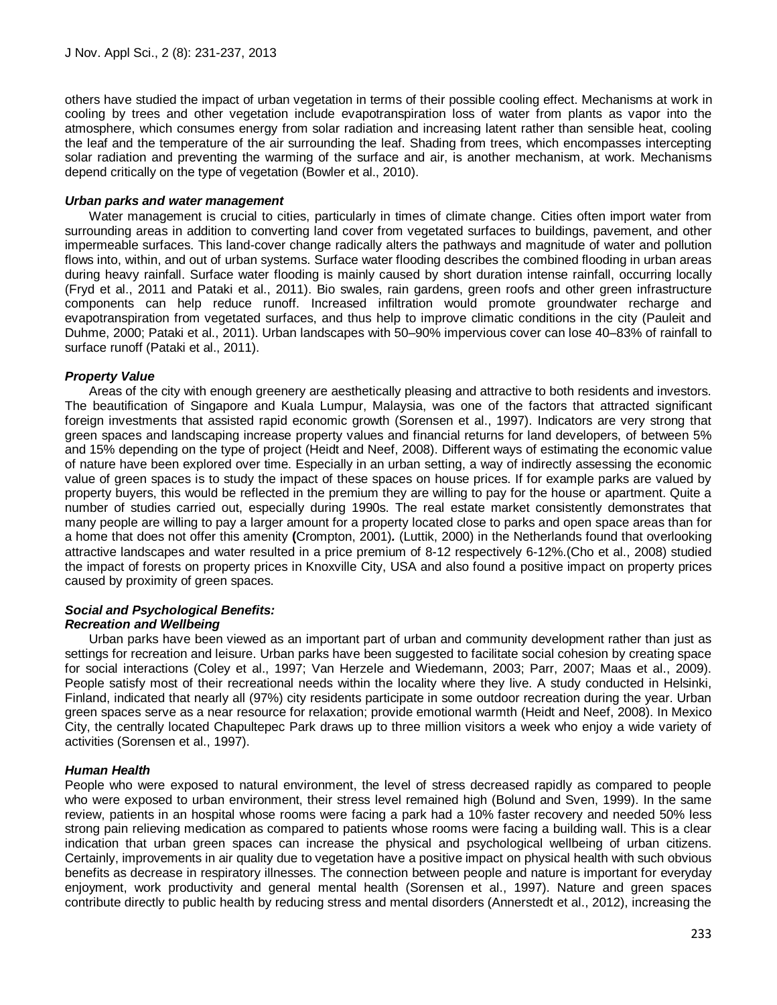others have studied the impact of urban vegetation in terms of their possible cooling effect. Mechanisms at work in cooling by trees and other vegetation include evapotranspiration loss of water from plants as vapor into the atmosphere, which consumes energy from solar radiation and increasing latent rather than sensible heat, cooling the leaf and the temperature of the air surrounding the leaf. Shading from trees, which encompasses intercepting solar radiation and preventing the warming of the surface and air, is another mechanism, at work. Mechanisms depend critically on the type of vegetation (Bowler et al., 2010).

#### *Urban parks and water management*

Water management is crucial to cities, particularly in times of climate change. Cities often import water from surrounding areas in addition to converting land cover from vegetated surfaces to buildings, pavement, and other impermeable surfaces. This land-cover change radically alters the pathways and magnitude of water and pollution flows into, within, and out of urban systems. Surface water flooding describes the combined flooding in urban areas during heavy rainfall. Surface water flooding is mainly caused by short duration intense rainfall, occurring locally (Fryd et al., 2011 and Pataki et al., 2011). Bio swales, rain gardens, green roofs and other green infrastructure components can help reduce runoff. Increased infiltration would promote groundwater recharge and evapotranspiration from vegetated surfaces, and thus help to improve climatic conditions in the city (Pauleit and Duhme, 2000; Pataki et al., 2011). Urban landscapes with 50–90% impervious cover can lose 40–83% of rainfall to surface runoff (Pataki et al., 2011).

## *Property Value*

Areas of the city with enough greenery are aesthetically pleasing and attractive to both residents and investors. The beautification of Singapore and Kuala Lumpur, Malaysia, was one of the factors that attracted significant foreign investments that assisted rapid economic growth (Sorensen et al., 1997). Indicators are very strong that green spaces and landscaping increase property values and financial returns for land developers, of between 5% and 15% depending on the type of project (Heidt and Neef, 2008). Different ways of estimating the economic value of nature have been explored over time. Especially in an urban setting, a way of indirectly assessing the economic value of green spaces is to study the impact of these spaces on house prices. If for example parks are valued by property buyers, this would be reflected in the premium they are willing to pay for the house or apartment. Quite a number of studies carried out, especially during 1990s. The real estate market consistently demonstrates that many people are willing to pay a larger amount for a property located close to parks and open space areas than for a home that does not offer this amenity **(**Crompton, 2001)*.* (Luttik, 2000) in the Netherlands found that overlooking attractive landscapes and water resulted in a price premium of 8-12 respectively 6-12%.(Cho et al., 2008) studied the impact of forests on property prices in Knoxville City, USA and also found a positive impact on property prices caused by proximity of green spaces.

## *Social and Psychological Benefits:*

## *Recreation and Wellbeing*

Urban parks have been viewed as an important part of urban and community development rather than just as settings for recreation and leisure. Urban parks have been suggested to facilitate social cohesion by creating space for social interactions (Coley et al., 1997; Van Herzele and Wiedemann, 2003; Parr, 2007; Maas et al., 2009). People satisfy most of their recreational needs within the locality where they live. A study conducted in Helsinki, Finland, indicated that nearly all (97%) city residents participate in some outdoor recreation during the year. Urban green spaces serve as a near resource for relaxation; provide emotional warmth (Heidt and Neef, 2008). In Mexico City, the centrally located Chapultepec Park draws up to three million visitors a week who enjoy a wide variety of activities (Sorensen et al., 1997).

## *Human Health*

People who were exposed to natural environment, the level of stress decreased rapidly as compared to people who were exposed to urban environment, their stress level remained high (Bolund and Sven, 1999). In the same review, patients in an hospital whose rooms were facing a park had a 10% faster recovery and needed 50% less strong pain relieving medication as compared to patients whose rooms were facing a building wall. This is a clear indication that urban green spaces can increase the physical and psychological wellbeing of urban citizens. Certainly, improvements in air quality due to vegetation have a positive impact on physical health with such obvious benefits as decrease in respiratory illnesses. The connection between people and nature is important for everyday enjoyment, work productivity and general mental health (Sorensen et al., 1997). Nature and green spaces contribute directly to public health by reducing stress and mental disorders (Annerstedt et al., 2012), increasing the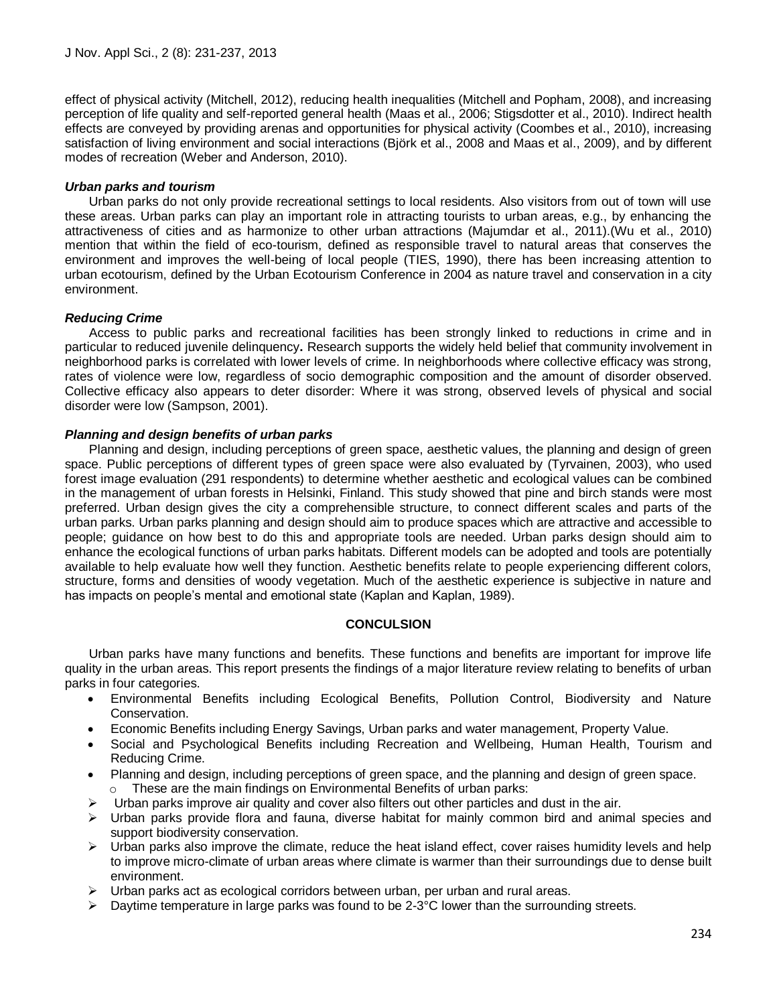effect of physical activity (Mitchell, 2012), reducing health inequalities (Mitchell and Popham, 2008), and increasing perception of life quality and self-reported general health (Maas et al., 2006; Stigsdotter et al., 2010). Indirect health effects are conveyed by providing arenas and opportunities for physical activity (Coombes et al., 2010), increasing satisfaction of living environment and social interactions (Björk et al., 2008 and Maas et al., 2009), and by different modes of recreation (Weber and Anderson, 2010).

## *Urban parks and tourism*

Urban parks do not only provide recreational settings to local residents. Also visitors from out of town will use these areas. Urban parks can play an important role in attracting tourists to urban areas, e.g., by enhancing the attractiveness of cities and as harmonize to other urban attractions (Majumdar et al., 2011).(Wu et al., 2010) mention that within the field of eco-tourism, defined as responsible travel to natural areas that conserves the environment and improves the well-being of local people (TIES, 1990), there has been increasing attention to urban ecotourism, defined by the Urban Ecotourism Conference in 2004 as nature travel and conservation in a city environment.

## *Reducing Crime*

Access to public parks and recreational facilities has been strongly linked to reductions in crime and in particular to reduced juvenile delinquency**.** Research supports the widely held belief that community involvement in neighborhood parks is correlated with lower levels of crime. In neighborhoods where collective efficacy was strong, rates of violence were low, regardless of socio demographic composition and the amount of disorder observed. Collective efficacy also appears to deter disorder: Where it was strong, observed levels of physical and social disorder were low (Sampson, 2001).

## *Planning and design benefits of urban parks*

Planning and design, including perceptions of green space, aesthetic values, the planning and design of green space. Public perceptions of different types of green space were also evaluated by (Tyrvainen, 2003), who used forest image evaluation (291 respondents) to determine whether aesthetic and ecological values can be combined in the management of urban forests in Helsinki, Finland. This study showed that pine and birch stands were most preferred. Urban design gives the city a comprehensible structure, to connect different scales and parts of the urban parks. Urban parks planning and design should aim to produce spaces which are attractive and accessible to people; guidance on how best to do this and appropriate tools are needed. Urban parks design should aim to enhance the ecological functions of urban parks habitats. Different models can be adopted and tools are potentially available to help evaluate how well they function. Aesthetic benefits relate to people experiencing different colors, structure, forms and densities of woody vegetation. Much of the aesthetic experience is subjective in nature and has impacts on people"s mental and emotional state (Kaplan and Kaplan, 1989).

## **CONCULSION**

Urban parks have many functions and benefits. These functions and benefits are important for improve life quality in the urban areas. This report presents the findings of a major literature review relating to benefits of urban parks in four categories.

- Environmental Benefits including Ecological Benefits, Pollution Control, Biodiversity and Nature Conservation.
- Economic Benefits including Energy Savings, Urban parks and water management, Property Value.
- Social and Psychological Benefits including Recreation and Wellbeing, Human Health, Tourism and Reducing Crime.
- Planning and design, including perceptions of green space, and the planning and design of green space. o These are the main findings on Environmental Benefits of urban parks:
- Urban parks improve air quality and cover also filters out other particles and dust in the air.
- Urban parks provide flora and fauna, diverse habitat for mainly common bird and animal species and support biodiversity conservation.
- $\triangleright$  Urban parks also improve the climate, reduce the heat island effect, cover raises humidity levels and help to improve micro-climate of urban areas where climate is warmer than their surroundings due to dense built environment.
- Urban parks act as ecological corridors between urban, per urban and rural areas.
- $\triangleright$  Daytime temperature in large parks was found to be 2-3°C lower than the surrounding streets.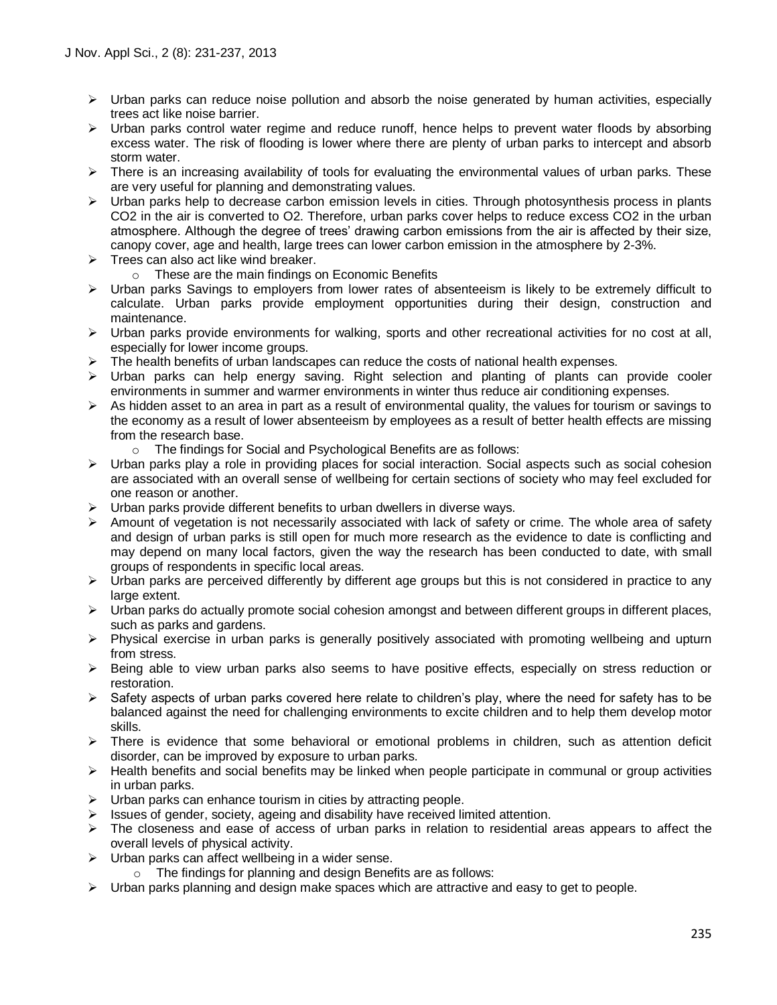- $\triangleright$  Urban parks can reduce noise pollution and absorb the noise generated by human activities, especially trees act like noise barrier.
- $\triangleright$  Urban parks control water regime and reduce runoff, hence helps to prevent water floods by absorbing excess water. The risk of flooding is lower where there are plenty of urban parks to intercept and absorb storm water.
- $\triangleright$  There is an increasing availability of tools for evaluating the environmental values of urban parks. These are very useful for planning and demonstrating values.
- $\triangleright$  Urban parks help to decrease carbon emission levels in cities. Through photosynthesis process in plants CO2 in the air is converted to O2. Therefore, urban parks cover helps to reduce excess CO2 in the urban atmosphere. Although the degree of trees" drawing carbon emissions from the air is affected by their size, canopy cover, age and health, large trees can lower carbon emission in the atmosphere by 2-3%.
- $\triangleright$  Trees can also act like wind breaker.
	- o These are the main findings on Economic Benefits
- $\triangleright$  Urban parks Savings to employers from lower rates of absenteeism is likely to be extremely difficult to calculate. Urban parks provide employment opportunities during their design, construction and maintenance.
- $\triangleright$  Urban parks provide environments for walking, sports and other recreational activities for no cost at all, especially for lower income groups.
- The health benefits of urban landscapes can reduce the costs of national health expenses.
- $\triangleright$  Urban parks can help energy saving. Right selection and planting of plants can provide cooler environments in summer and warmer environments in winter thus reduce air conditioning expenses.
- $\triangleright$  As hidden asset to an area in part as a result of environmental quality, the values for tourism or savings to the economy as a result of lower absenteeism by employees as a result of better health effects are missing from the research base.
	- o The findings for Social and Psychological Benefits are as follows:
- $\triangleright$  Urban parks play a role in providing places for social interaction. Social aspects such as social cohesion are associated with an overall sense of wellbeing for certain sections of society who may feel excluded for one reason or another.
- $\triangleright$  Urban parks provide different benefits to urban dwellers in diverse ways.
- Amount of vegetation is not necessarily associated with lack of safety or crime. The whole area of safety and design of urban parks is still open for much more research as the evidence to date is conflicting and may depend on many local factors, given the way the research has been conducted to date, with small groups of respondents in specific local areas.
- $\triangleright$  Urban parks are perceived differently by different age groups but this is not considered in practice to any large extent.
- $\triangleright$  Urban parks do actually promote social cohesion amongst and between different groups in different places, such as parks and gardens.
- $\triangleright$  Physical exercise in urban parks is generally positively associated with promoting wellbeing and upturn from stress.
- $\triangleright$  Being able to view urban parks also seems to have positive effects, especially on stress reduction or restoration.
- $\triangleright$  Safety aspects of urban parks covered here relate to children's play, where the need for safety has to be balanced against the need for challenging environments to excite children and to help them develop motor skills.
- $\triangleright$  There is evidence that some behavioral or emotional problems in children, such as attention deficit disorder, can be improved by exposure to urban parks.
- $\triangleright$  Health benefits and social benefits may be linked when people participate in communal or group activities in urban parks.
- $\triangleright$  Urban parks can enhance tourism in cities by attracting people.
- $\triangleright$  Issues of gender, society, ageing and disability have received limited attention.
- $\triangleright$  The closeness and ease of access of urban parks in relation to residential areas appears to affect the overall levels of physical activity.
- $\triangleright$  Urban parks can affect wellbeing in a wider sense.
	- o The findings for planning and design Benefits are as follows:
- $\triangleright$  Urban parks planning and design make spaces which are attractive and easy to get to people.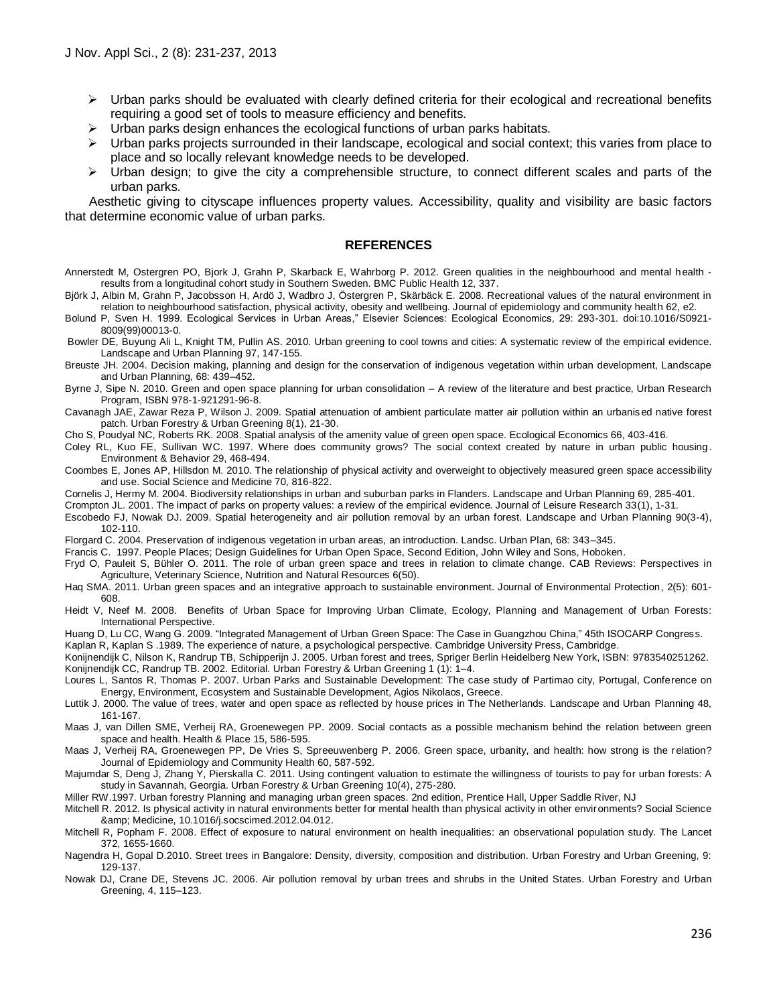- $\triangleright$  Urban parks should be evaluated with clearly defined criteria for their ecological and recreational benefits requiring a good set of tools to measure efficiency and benefits.
- Urban parks design enhances the ecological functions of urban parks habitats.
- Urban parks projects surrounded in their landscape, ecological and social context; this varies from place to place and so locally relevant knowledge needs to be developed.
- $\triangleright$  Urban design; to give the city a comprehensible structure, to connect different scales and parts of the urban parks.

Aesthetic giving to cityscape influences property values. Accessibility, quality and visibility are basic factors that determine economic value of urban parks.

#### **REFERENCES**

- Annerstedt M, Ostergren PO, Bjork J, Grahn P, Skarback E, Wahrborg P. 2012. Green qualities in the neighbourhood and mental health results from a longitudinal cohort study in Southern Sweden. BMC Public Health 12, 337.
- Björk J, Albin M, Grahn P, Jacobsson H, Ardö J, Wadbro J, Östergren P, Skärbäck E. 2008. Recreational values of the natural environment in relation to neighbourhood satisfaction, physical activity, obesity and wellbeing. Journal of epidemiology and community health 62, e2.

Bolund P, Sven H. 1999. Ecological Services in Urban Areas," Elsevier Sciences: Ecological Economics, 29: 293-301. doi:10.1016/S0921- 8009(99)00013-0.

Bowler DE, Buyung Ali L, Knight TM, Pullin AS. 2010. Urban greening to cool towns and cities: A systematic review of the empirical evidence. Landscape and Urban Planning 97, 147-155.

Breuste JH. 2004. Decision making, planning and design for the conservation of indigenous vegetation within urban development, Landscape and Urban Planning, 68: 439–452.

Byrne J, Sipe N. 2010. Green and open space planning for urban consolidation – A review of the literature and best practice, Urban Research Program, ISBN 978-1-921291-96-8.

Cavanagh JAE, Zawar Reza P, Wilson J. 2009. Spatial attenuation of ambient particulate matter air pollution within an urbanis ed native forest patch. Urban Forestry & Urban Greening 8(1), 21-30.

Cho S, Poudyal NC, Roberts RK. 2008. Spatial analysis of the amenity value of green open space. Ecological Economics 66, 403-416.

Coley RL, Kuo FE, Sullivan WC. 1997. Where does community grows? The social context created by nature in urban public housing. Environment & Behavior 29, 468-494.

Coombes E, Jones AP, Hillsdon M. 2010. The relationship of physical activity and overweight to objectively measured green space accessibility and use. Social Science and Medicine 70, 816-822.

Cornelis J, Hermy M. 2004. Biodiversity relationships in urban and suburban parks in Flanders. Landscape and Urban Planning 69, 285-401.

Crompton JL. 2001. The impact of parks on property values: a review of the empirical evidence. Journal of Leisure Research 33(1), 1-31.

Escobedo FJ, Nowak DJ. 2009. Spatial heterogeneity and air pollution removal by an urban forest. Landscape and Urban Planning 90(3-4), 102-110.

Florgard C. 2004. Preservation of indigenous vegetation in urban areas, an introduction. Landsc. Urban Plan, 68: 343–345.

Francis C. 1997. People Places; Design Guidelines for Urban Open Space, Second Edition, John Wiley and Sons, Hoboken.

Fryd O, Pauleit S, Bühler O. 2011. The role of urban green space and trees in relation to climate change. CAB Reviews: Perspectives in Agriculture, Veterinary Science, Nutrition and Natural Resources 6(50).

Haq SMA. 2011. Urban green spaces and an integrative approach to sustainable environment. Journal of Environmental Protection, 2(5): 601- 608.

Heidt V, Neef M. 2008. Benefits of Urban Space for Improving Urban Climate, Ecology, Planning and Management of Urban Forests: International Perspective.

Huang D, Lu CC, Wang G. 2009. "Integrated Management of Urban Green Space: The Case in Guangzhou China," 45th ISOCARP Congress.

Kaplan R, Kaplan S .1989. The experience of nature, a psychological perspective. Cambridge University Press, Cambridge. Konijnendijk C, Nilson K, Randrup TB, Schipperijn J. 2005. Urban forest and trees, Spriger Berlin Heidelberg New York, ISBN: 9783540251262. Konijnendijk CC, Randrup TB. 2002. Editorial. Urban Forestry & Urban Greening 1 (1): 1–4.

Loures L, Santos R, Thomas P. 2007. Urban Parks and Sustainable Development: The case study of Partimao city, Portugal, Conference on Energy, Environment, Ecosystem and Sustainable Development, Agios Nikolaos, Greece.

Luttik J. 2000. The value of trees, water and open space as reflected by house prices in The Netherlands. Landscape and Urban Planning 48, 161-167.

Maas J, van Dillen SME, Verheij RA, Groenewegen PP. 2009. Social contacts as a possible mechanism behind the relation between green space and health. Health & Place 15, 586-595.

Maas J, Verheij RA, Groenewegen PP, De Vries S, Spreeuwenberg P. 2006. Green space, urbanity, and health: how strong is the relation? Journal of Epidemiology and Community Health 60, 587-592.

Majumdar S, Deng J, Zhang Y, Pierskalla C. 2011. Using contingent valuation to estimate the willingness of tourists to pay for urban forests: A study in Savannah, Georgia. Urban Forestry & Urban Greening 10(4), 275-280.

Miller RW.1997. Urban forestry Planning and managing urban green spaces. 2nd edition, Prentice Hall, Upper Saddle River, NJ

Mitchell R. 2012. Is physical activity in natural environments better for mental health than physical activity in other environments? Social Science & Medicine, 10.1016/j.socscimed.2012.04.012.

Mitchell R, Popham F. 2008. Effect of exposure to natural environment on health inequalities: an observational population study. The Lancet 372, 1655-1660.

Nagendra H, Gopal D.2010. Street trees in Bangalore: Density, diversity, composition and distribution. Urban Forestry and Urban Greening, 9: 129-137.

Nowak DJ, Crane DE, Stevens JC. 2006. Air pollution removal by urban trees and shrubs in the United States. Urban Forestry and Urban Greening, 4, 115–123.